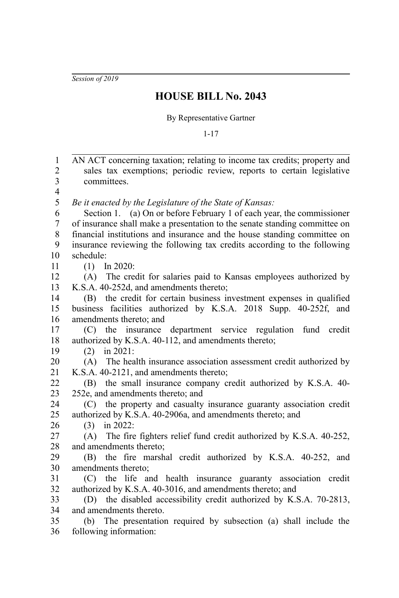*Session of 2019*

## **HOUSE BILL No. 2043**

By Representative Gartner

1-17

AN ACT concerning taxation; relating to income tax credits; property and sales tax exemptions; periodic review, reports to certain legislative committees. *Be it enacted by the Legislature of the State of Kansas:* Section 1. (a) On or before February 1 of each year, the commissioner of insurance shall make a presentation to the senate standing committee on financial institutions and insurance and the house standing committee on insurance reviewing the following tax credits according to the following schedule: (1) In 2020: (A) The credit for salaries paid to Kansas employees authorized by K.S.A. 40-252d, and amendments thereto; (B) the credit for certain business investment expenses in qualified business facilities authorized by K.S.A. 2018 Supp. 40-252f, and amendments thereto; and (C) the insurance department service regulation fund credit authorized by K.S.A. 40-112, and amendments thereto; (2) in 2021: (A) The health insurance association assessment credit authorized by K.S.A. 40-2121, and amendments thereto; (B) the small insurance company credit authorized by K.S.A. 40- 252e, and amendments thereto; and (C) the property and casualty insurance guaranty association credit authorized by K.S.A. 40-2906a, and amendments thereto; and (3) in 2022: (A) The fire fighters relief fund credit authorized by K.S.A. 40-252, and amendments thereto; (B) the fire marshal credit authorized by K.S.A. 40-252, and amendments thereto; (C) the life and health insurance guaranty association credit authorized by K.S.A. 40-3016, and amendments thereto; and (D) the disabled accessibility credit authorized by K.S.A. 70-2813, and amendments thereto. (b) The presentation required by subsection (a) shall include the following information: 1 2 3 4 5 6 7 8 9 10 11 12 13 14 15 16 17 18 19 20 21 22 23 24 25 26 27 28 29 30 31 32 33 34 35 36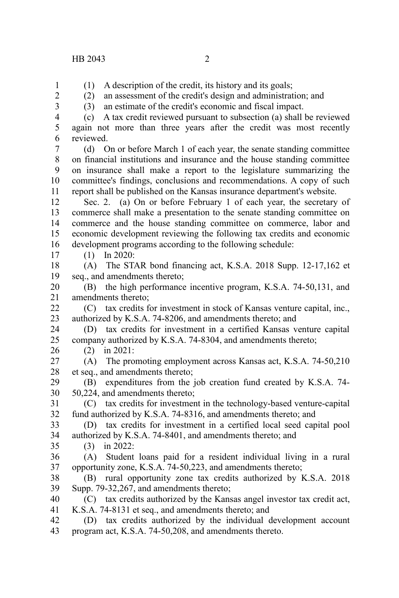(1) A description of the credit, its history and its goals;

1 2

(2) an assessment of the credit's design and administration; and (3) an estimate of the credit's economic and fiscal impact.

3 4 5

17

26

(c) A tax credit reviewed pursuant to subsection (a) shall be reviewed again not more than three years after the credit was most recently

reviewed. 6

(d) On or before March 1 of each year, the senate standing committee on financial institutions and insurance and the house standing committee on insurance shall make a report to the legislature summarizing the committee's findings, conclusions and recommendations. A copy of such report shall be published on the Kansas insurance department's website. 7 8 9 10 11

Sec. 2. (a) On or before February 1 of each year, the secretary of commerce shall make a presentation to the senate standing committee on commerce and the house standing committee on commerce, labor and economic development reviewing the following tax credits and economic development programs according to the following schedule: 12 13 14 15 16

(1) In 2020:

(A) The STAR bond financing act, K.S.A. 2018 Supp. 12-17,162 et seq., and amendments thereto; 18 19

(B) the high performance incentive program, K.S.A. 74-50,131, and amendments thereto; 20 21

(C) tax credits for investment in stock of Kansas venture capital, inc., authorized by K.S.A. 74-8206, and amendments thereto; and 22 23

(D) tax credits for investment in a certified Kansas venture capital company authorized by K.S.A. 74-8304, and amendments thereto; 24 25

(2) in 2021:

(A) The promoting employment across Kansas act, K.S.A. 74-50,210 et seq., and amendments thereto; 27 28

(B) expenditures from the job creation fund created by K.S.A. 74- 50,224, and amendments thereto; 29 30

(C) tax credits for investment in the technology-based venture-capital fund authorized by K.S.A. 74-8316, and amendments thereto; and 31 32

(D) tax credits for investment in a certified local seed capital pool authorized by K.S.A. 74-8401, and amendments thereto; and 33 34

- (3) in 2022: 35
- (A) Student loans paid for a resident individual living in a rural opportunity zone, K.S.A. 74-50,223, and amendments thereto; 36 37
- (B) rural opportunity zone tax credits authorized by K.S.A. 2018 Supp. 79-32,267, and amendments thereto; 38 39
- (C) tax credits authorized by the Kansas angel investor tax credit act, K.S.A. 74-8131 et seq., and amendments thereto; and 40 41
- (D) tax credits authorized by the individual development account program act, K.S.A. 74-50,208, and amendments thereto. 42 43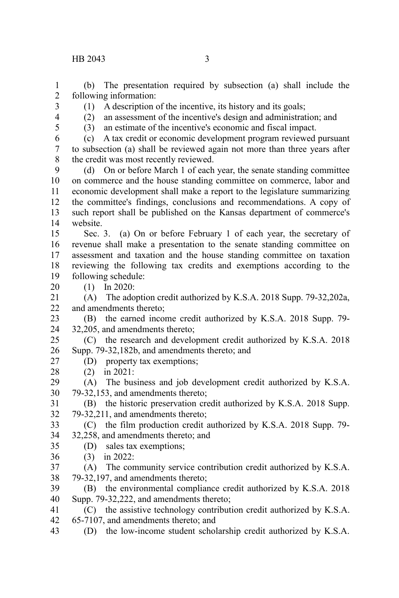(b) The presentation required by subsection (a) shall include the following information: 1 2

- (1) A description of the incentive, its history and its goals;
- 3 4 5

(2) an assessment of the incentive's design and administration; and

(3) an estimate of the incentive's economic and fiscal impact.

(c) A tax credit or economic development program reviewed pursuant to subsection (a) shall be reviewed again not more than three years after the credit was most recently reviewed. 6 7 8

(d) On or before March 1 of each year, the senate standing committee on commerce and the house standing committee on commerce, labor and economic development shall make a report to the legislature summarizing the committee's findings, conclusions and recommendations. A copy of such report shall be published on the Kansas department of commerce's website. 9 10 11 12 13 14

Sec. 3. (a) On or before February 1 of each year, the secretary of revenue shall make a presentation to the senate standing committee on assessment and taxation and the house standing committee on taxation reviewing the following tax credits and exemptions according to the following schedule: 15 16 17 18 19

(1) In 2020: 20

(A) The adoption credit authorized by K.S.A. 2018 Supp. 79-32,202a, and amendments thereto; 21 22

(B) the earned income credit authorized by K.S.A. 2018 Supp. 79- 32,205, and amendments thereto; 23 24

(C) the research and development credit authorized by K.S.A. 2018 Supp. 79-32,182b, and amendments thereto; and 25 26

- (D) property tax exemptions;
- (2) in 2021: 28

27

(A) The business and job development credit authorized by K.S.A. 79-32,153, and amendments thereto; 29 30

(B) the historic preservation credit authorized by K.S.A. 2018 Supp. 79-32,211, and amendments thereto; 31 32

(C) the film production credit authorized by K.S.A. 2018 Supp. 79- 32,258, and amendments thereto; and 33 34

- (D) sales tax exemptions; 35
- (3) in 2022: 36

(A) The community service contribution credit authorized by K.S.A. 79-32,197, and amendments thereto; 37 38

(B) the environmental compliance credit authorized by K.S.A. 2018 Supp. 79-32,222, and amendments thereto; 39 40

- (C) the assistive technology contribution credit authorized by K.S.A. 41
- 65-7107, and amendments thereto; and 42

(D) the low-income student scholarship credit authorized by K.S.A. 43